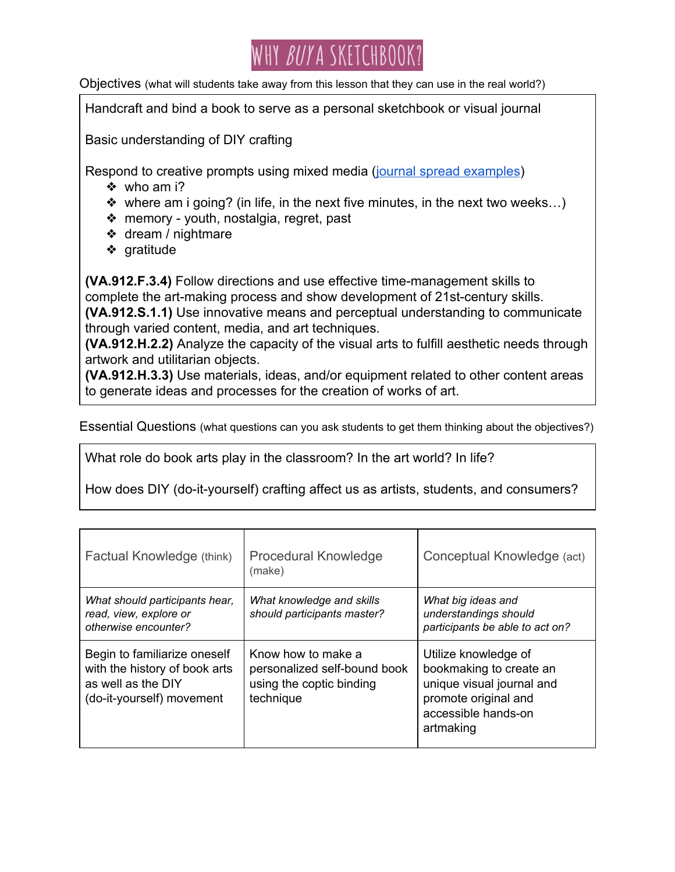

Objectives (what will students take away from this lesson that they can use in the real world?)

Handcraft and bind a book to serve as a personal sketchbook or visual journal

Basic understanding of DIY crafting

Respond to creative prompts using mixed media [\(journal spread examples](https://docs.google.com/presentation/d/1c-b24Hx_bs5CMpFjc8OMr26pHmgg6R66atyYl4YolsA/edit?usp=sharing))

- ❖ who am i?
- $\triangleq$  where am i going? (in life, in the next five minutes, in the next two weeks...)
- ❖ memory youth, nostalgia, regret, past
- ❖ dream / nightmare
- ❖ gratitude

**(VA.912.F.3.4)** Follow directions and use effective time-management skills to complete the art-making process and show development of 21st-century skills. **(VA.912.S.1.1)** Use innovative means and perceptual understanding to communicate through varied content, media, and art techniques.

**(VA.912.H.2.2)** Analyze the capacity of the visual arts to fulfill aesthetic needs through artwork and utilitarian objects.

**(VA.912.H.3.3)** Use materials, ideas, and/or equipment related to other content areas to generate ideas and processes for the creation of works of art.

Essential Questions (what questions can you ask students to get them thinking about the objectives?)

What role do book arts play in the classroom? In the art world? In life?

How does DIY (do-it-yourself) crafting affect us as artists, students, and consumers?

| Factual Knowledge (think)                                                                                        | <b>Procedural Knowledge</b><br>(make)                                                       | Conceptual Knowledge (act)                                                                                                               |
|------------------------------------------------------------------------------------------------------------------|---------------------------------------------------------------------------------------------|------------------------------------------------------------------------------------------------------------------------------------------|
| What should participants hear,<br>read, view, explore or<br>otherwise encounter?                                 | What knowledge and skills<br>should participants master?                                    | What big ideas and<br>understandings should<br>participants be able to act on?                                                           |
| Begin to familiarize oneself<br>with the history of book arts<br>as well as the DIY<br>(do-it-yourself) movement | Know how to make a<br>personalized self-bound book<br>using the coptic binding<br>technique | Utilize knowledge of<br>bookmaking to create an<br>unique visual journal and<br>promote original and<br>accessible hands-on<br>artmaking |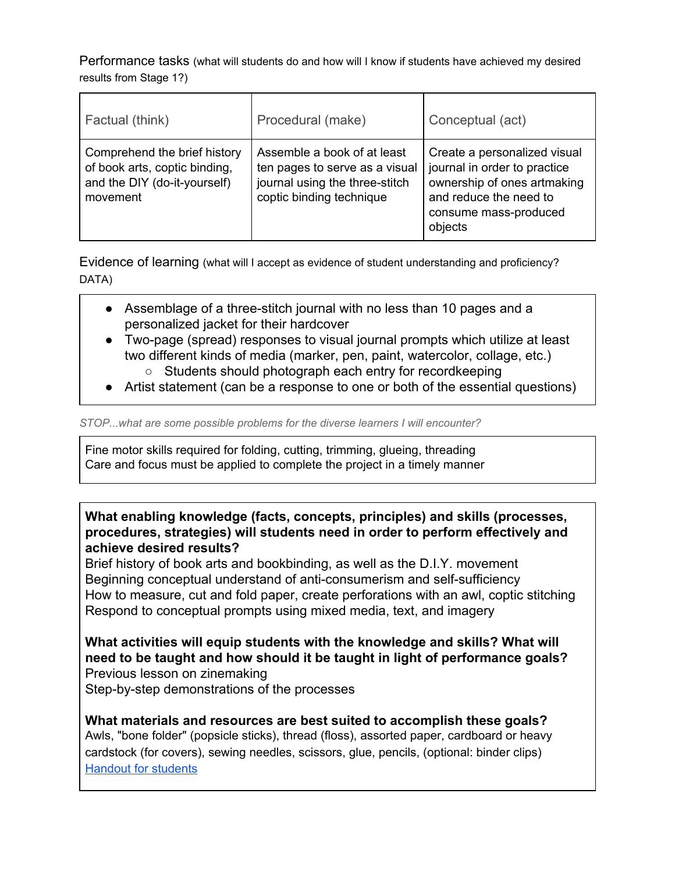Performance tasks (what will students do and how will I know if students have achieved my desired results from Stage 1?)

| Factual (think)                                                                                           | Procedural (make)                                                                                                           | Conceptual (act)                                                                                                                                          |
|-----------------------------------------------------------------------------------------------------------|-----------------------------------------------------------------------------------------------------------------------------|-----------------------------------------------------------------------------------------------------------------------------------------------------------|
| Comprehend the brief history<br>of book arts, coptic binding,<br>and the DIY (do-it-yourself)<br>movement | Assemble a book of at least<br>ten pages to serve as a visual<br>journal using the three-stitch<br>coptic binding technique | Create a personalized visual<br>journal in order to practice<br>ownership of ones artmaking<br>and reduce the need to<br>consume mass-produced<br>objects |

Evidence of learning (what will I accept as evidence of student understanding and proficiency? DATA)

- Assemblage of a three-stitch journal with no less than 10 pages and a personalized jacket for their hardcover
- Two-page (spread) responses to visual journal prompts which utilize at least two different kinds of media (marker, pen, paint, watercolor, collage, etc.)
	- Students should photograph each entry for recordkeeping
- Artist statement (can be a response to one or both of the essential questions)

*STOP...what are some possible problems for the diverse learners I will encounter?*

Fine motor skills required for folding, cutting, trimming, glueing, threading Care and focus must be applied to complete the project in a timely manner

**What enabling knowledge (facts, concepts, principles) and skills (processes, procedures, strategies) will students need in order to perform effectively and achieve desired results?**

Brief history of book arts and bookbinding, as well as the D.I.Y. movement Beginning conceptual understand of anti-consumerism and self-sufficiency How to measure, cut and fold paper, create perforations with an awl, coptic stitching Respond to conceptual prompts using mixed media, text, and imagery

**What activities will equip students with the knowledge and skills? What will need to be taught and how should it be taught in light of performance goals?** Previous lesson on zinemaking

Step-by-step demonstrations of the processes

**What materials and resources are best suited to accomplish these goals?** Awls, "bone folder" (popsicle sticks), thread (floss), assorted paper, cardboard or heavy cardstock (for covers), sewing needles, scissors, glue, pencils, (optional: binder clips) [Handout](https://docs.google.com/document/d/18HIQD2qms8lDA8iu4D422OwpQWiHUqzCZxxzVCOMoCY/edit?usp=sharing) for students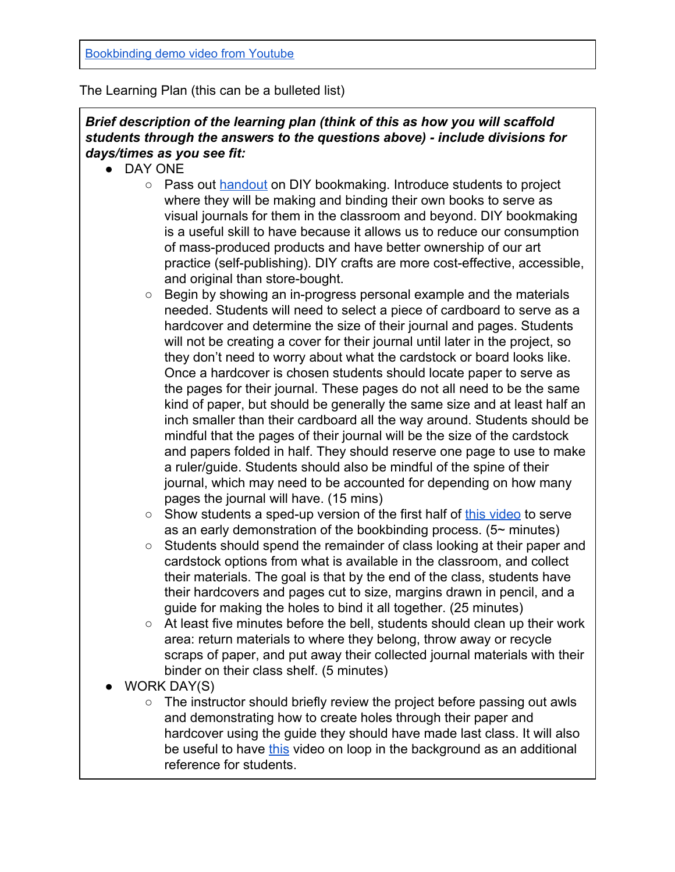## The Learning Plan (this can be a bulleted list)

## *Brief description of the learning plan (think of this as how you will scaffold students through the answers to the questions above) - include divisions for days/times as you see fit:*

- DAY ONE
	- Pass out [handout](https://drive.google.com/open?id=18HIQD2qms8lDA8iu4D422OwpQWiHUqzCZxxzVCOMoCY) on DIY bookmaking. Introduce students to project where they will be making and binding their own books to serve as visual journals for them in the classroom and beyond. DIY bookmaking is a useful skill to have because it allows us to reduce our consumption of mass-produced products and have better ownership of our art practice (self-publishing). DIY crafts are more cost-effective, accessible, and original than store-bought.
	- Begin by showing an in-progress personal example and the materials needed. Students will need to select a piece of cardboard to serve as a hardcover and determine the size of their journal and pages. Students will not be creating a cover for their journal until later in the project, so they don't need to worry about what the cardstock or board looks like. Once a hardcover is chosen students should locate paper to serve as the pages for their journal. These pages do not all need to be the same kind of paper, but should be generally the same size and at least half an inch smaller than their cardboard all the way around. Students should be mindful that the pages of their journal will be the size of the cardstock and papers folded in half. They should reserve one page to use to make a ruler/guide. Students should also be mindful of the spine of their journal, which may need to be accounted for depending on how many pages the journal will have. (15 mins)
	- Show students a sped-up version of the first half of [this video](https://www.youtube.com/watch?v=fZh27cE4Dko) to serve as an early demonstration of the bookbinding process.  $(5 \sim$  minutes)
	- Students should spend the remainder of class looking at their paper and cardstock options from what is available in the classroom, and collect their materials. The goal is that by the end of the class, students have their hardcovers and pages cut to size, margins drawn in pencil, and a guide for making the holes to bind it all together. (25 minutes)
	- At least five minutes before the bell, students should clean up their work area: return materials to where they belong, throw away or recycle scraps of paper, and put away their collected journal materials with their binder on their class shelf. (5 minutes)
- WORK DAY(S)
	- The instructor should briefly review the project before passing out awls and demonstrating how to create holes through their paper and hardcover using the guide they should have made last class. It will also be useful to have [this](https://www.youtube.com/watch?v=0x382EfzYGg) video on loop in the background as an additional reference for students.